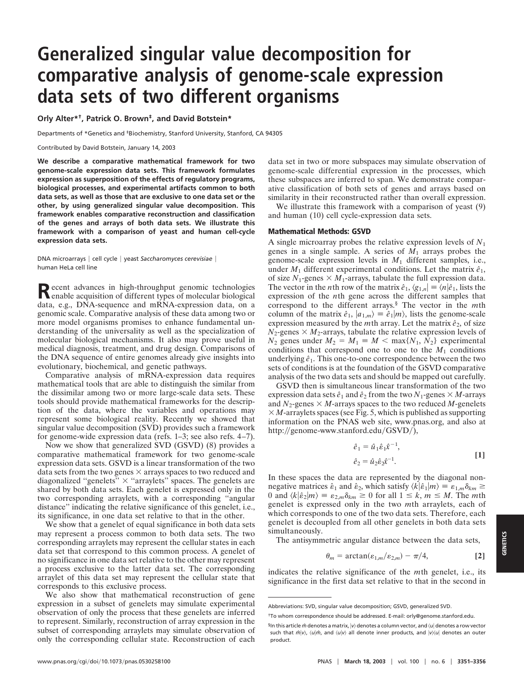## **Generalized singular value decomposition for comparative analysis of genome-scale expression data sets of two different organisms**

**Orly Alter\*†, Patrick O. Brown‡, and David Botstein\***

Departments of \*Genetics and ‡Biochemistry, Stanford University, Stanford, CA 94305

Contributed by David Botstein, January 14, 2003

**We describe a comparative mathematical framework for two genome-scale expression data sets. This framework formulates expression as superposition of the effects of regulatory programs, biological processes, and experimental artifacts common to both data sets, as well as those that are exclusive to one data set or the other, by using generalized singular value decomposition. This framework enables comparative reconstruction and classification of the genes and arrays of both data sets. We illustrate this framework with a comparison of yeast and human cell-cycle expression data sets.**

DNA microarrays | cell cycle | yeast *Saccharomyces cerevisiae* | human HeLa cell line

Recent advances in high-throughput genomic technologies<br>enable acquisition of different types of molecular biological data, e.g., DNA-sequence and mRNA-expression data, on a genomic scale. Comparative analysis of these data among two or more model organisms promises to enhance fundamental understanding of the universality as well as the specialization of molecular biological mechanisms. It also may prove useful in medical diagnosis, treatment, and drug design. Comparisons of the DNA sequence of entire genomes already give insights into evolutionary, biochemical, and genetic pathways.

Comparative analysis of mRNA-expression data requires mathematical tools that are able to distinguish the similar from the dissimilar among two or more large-scale data sets. These tools should provide mathematical frameworks for the description of the data, where the variables and operations may represent some biological reality. Recently we showed that singular value decomposition (SVD) provides such a framework for genome-wide expression data (refs. 1–3; see also refs. 4–7).

Now we show that generalized SVD (GSVD) (8) provides a comparative mathematical framework for two genome-scale expression data sets. GSVD is a linear transformation of the two data sets from the two genes  $\times$  arrays spaces to two reduced and diagonalized "genelets"  $\times$  "arraylets" spaces. The genelets are shared by both data sets. Each genelet is expressed only in the two corresponding arraylets, with a corresponding ''angular distance'' indicating the relative significance of this genelet, i.e., its significance, in one data set relative to that in the other.

We show that a genelet of equal significance in both data sets may represent a process common to both data sets. The two corresponding arraylets may represent the cellular states in each data set that correspond to this common process. A genelet of no significance in one data set relative to the other may represent a process exclusive to the latter data set. The corresponding arraylet of this data set may represent the cellular state that corresponds to this exclusive process.

We also show that mathematical reconstruction of gene expression in a subset of genelets may simulate experimental observation of only the process that these genelets are inferred to represent. Similarly, reconstruction of array expression in the subset of corresponding arraylets may simulate observation of only the corresponding cellular state. Reconstruction of each

data set in two or more subspaces may simulate observation of genome-scale differential expression in the processes, which these subspaces are inferred to span. We demonstrate comparative classification of both sets of genes and arrays based on similarity in their reconstructed rather than overall expression.

We illustrate this framework with a comparison of yeast (9) and human (10) cell cycle-expression data sets.

## **Mathematical Methods: GSVD**

A single microarray probes the relative expression levels of *N*<sup>1</sup> genes in a single sample. A series of  $M_1$  arrays probes the genome-scale expression levels in *M*<sup>1</sup> different samples, i.e., under  $M_1$  different experimental conditions. Let the matrix  $\hat{e}_1$ , of size  $N_1$ -genes  $\times$   $M_1$ -arrays, tabulate the full expression data. The vector in the *n*th row of the matrix  $\hat{e}_1$ ,  $\langle g_{1,n} | \equiv \langle n | \hat{e}_1$ , lists the expression of the *n*th gene across the different samples that correspond to the different arrays.§ The vector in the *m*th column of the matrix  $\hat{e}_1$ ,  $|a_{1,m}\rangle = \hat{e}_1|m\rangle$ , lists the genome-scale expression measured by the *m*th array. Let the matrix  $\hat{e}_2$ , of size  $N_2$ -genes  $\times$   $M_2$ -arrays, tabulate the relative expression levels of  $N_2$  genes under  $M_2 = M_1 \equiv M < \max\{N_1, N_2\}$  experimental conditions that correspond one to one to the  $M_1$  conditions underlying  $\hat{e}_1$ . This one-to-one correspondence between the two sets of conditions is at the foundation of the GSVD comparative analysis of the two data sets and should be mapped out carefully.

GSVD then is simultaneous linear transformation of the two expression data sets  $\hat{e}_1$  and  $\hat{e}_2$  from the two  $N_1$ -genes  $\times$  *M*-arrays and  $N_2$ -genes  $\times$  *M*-arrays spaces to the two reduced *M*-genelets  $\times$  *M*-arraylets spaces (see Fig. 5, which is published as supporting information on the PNAS web site, www.pnas.org, and also at http://genome-www.stanford.edu/GSVD/),

$$
\begin{aligned}\n\hat{e}_1 &= \hat{u}_1 \hat{e}_1 \hat{x}^{-1}, \\
\hat{e}_2 &= \hat{u}_2 \hat{e}_2 \hat{x}^{-1}.\n\end{aligned} \tag{1}
$$

In these spaces the data are represented by the diagonal nonnegative matrices  $\hat{\epsilon}_1$  and  $\hat{\epsilon}_2$ , which satisfy  $\langle k|\hat{\epsilon}_1|m\rangle \equiv \epsilon_{1,m}\delta_{km} \ge$ 0 and  $\langle k|\hat{\epsilon}_2|m\rangle \equiv \epsilon_{2,m}\delta_{km} \ge 0$  for all  $1 \le k, m \le M$ . The *m*th genelet is expressed only in the two *m*th arraylets, each of which corresponds to one of the two data sets. Therefore, each genelet is decoupled from all other genelets in both data sets simultaneously.

The antisymmetric angular distance between the data sets,

$$
\theta_m = \arctan(\varepsilon_{1,m}/\varepsilon_{2,m}) - \pi/4, \tag{2}
$$

indicates the relative significance of the *m*th genelet, i.e., its significance in the first data set relative to that in the second in

Abbreviations: SVD, singular value decomposition; GSVD, generalized SVD.

<sup>†</sup>To whom correspondence should be addressed. E-mail: orly@genome.stanford.edu. §In this article *m*̂ denotes a matrix, |v) denotes a column vector, and  $\langle u |$  denotes a row vector such that  $\hat{m}|v\rangle$ ,  $\langle u|\hat{m}$ , and  $\langle u|v\rangle$  all denote inner products, and  $|v\rangle\langle u|$  denotes an outer product.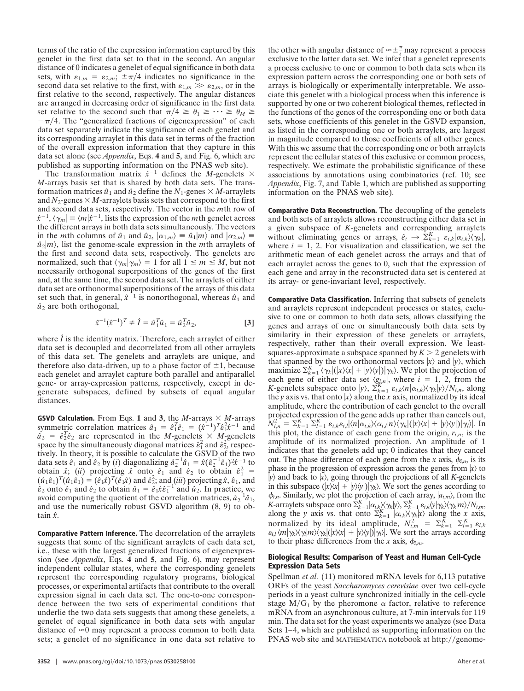terms of the ratio of the expression information captured by this genelet in the first data set to that in the second. An angular distance of 0 indicates a genelet of equal significance in both data sets, with  $\varepsilon_{1,m} = \varepsilon_{2,m}$ ;  $\pm \pi/4$  indicates no significance in the second data set relative to the first, with  $\varepsilon_{1,m} \gg \varepsilon_{2,m}$ , or in the first relative to the second, respectively. The angular distances are arranged in decreasing order of significance in the first data set relative to the second such that  $\pi/4 \ge \theta_1 \ge \cdots \ge \theta_M \ge$  $-\pi/4$ . The "generalized fractions of eigenexpression" of each data set separately indicate the significance of each genelet and its corresponding arraylet in this data set in terms of the fraction of the overall expression information that they capture in this data set alone (see *Appendix*, Eqs. **4** and **5**, and Fig. 6, which are published as supporting information on the PNAS web site).

The transformation matrix  $\hat{x}^{-1}$  defines the *M*-genelets  $\times$ *M*-arrays basis set that is shared by both data sets. The transformation matrices  $\hat{u}_1$  and  $\hat{u}_2$  define the  $N_1$ -genes  $\times$  *M*-arraylets and  $N_2$ -genes  $\times$  *M*-arraylets basis sets that correspond to the first and second data sets, respectively. The vector in the *m*th row of  $\hat{x}^{-1}$ ,  $\langle \gamma_m | \equiv \langle m | \hat{x}^{-1} \rangle$ , lists the expression of the *m*th genelet across the different arrays in both data sets simultaneously. The vectors in the *m*th columns of  $\hat{u}_1$  and  $\hat{u}_2$ ,  $|\alpha_{1,m}\rangle \equiv \hat{u}_1|m\rangle$  and  $|\alpha_{2,m}\rangle \equiv$  $\hat{u}_2|m\rangle$ , list the genome-scale expression in the *m*th arraylets of the first and second data sets, respectively. The genelets are normalized, such that  $\langle \gamma_m | \gamma_m \rangle = 1$  for all  $1 \leq m \leq M$ , but not necessarily orthogonal superpositions of the genes of the first and, at the same time, the second data set. The arraylets of either data set are orthonormal superpositions of the arrays of this data set such that, in general,  $\hat{x}^{-1}$  is nonorthogonal, whereas  $\hat{u}_1$  and  $\hat{u}_2$  are both orthogonal,

$$
\hat{x}^{-1}(\hat{x}^{-1})^T \neq \hat{I} = \hat{u}_1^T \hat{u}_1 = \hat{u}_2^T \hat{u}_2,\tag{3}
$$

where  $\hat{I}$  is the identity matrix. Therefore, each arraylet of either data set is decoupled and decorrelated from all other arraylets of this data set. The genelets and arraylets are unique, and therefore also data-driven, up to a phase factor of  $\pm 1$ , because each genelet and arraylet capture both parallel and antiparallel gene- or array-expression patterns, respectively, except in degenerate subspaces, defined by subsets of equal angular distances.

**GSVD Calculation.** From Eqs. 1 and 3, the *M*-arrays  $\times$  *M*-arrays symmetric correlation matrices  $\hat{a}_1 = \hat{e}_1^T \hat{e}_1 = (\hat{x}^{-1})^T \hat{e}_1^2 \hat{x}^{-1}$  and  $\dot{a}_2 = \hat{e}_2^T \hat{e}_2$  are represented in the *M*-genelets  $\times M$ -genelets space by the simultaneously diagonal matrices  $\hat{\epsilon}_1^2$  and  $\hat{\epsilon}_2^2$ , respectively. In theory, it is possible to calculate the GSVD of the two data sets  $\hat{e}_1$  and  $\hat{e}_2$  by (*i*) diagonalizing  $\hat{a}_2^{-1}\hat{a}_1 = \hat{x}(\hat{\epsilon}_2^{-1}\hat{\epsilon}_1)^2\hat{x}^{-1}$  to obtain  $\hat{x}$ ; (*ii*) projecting  $\hat{x}$  onto  $\hat{e}_1$  and  $\hat{e}_2$  to obtain  $\hat{\epsilon}_1^2$  =  $(\hat{u}_1 \hat{\epsilon}_1)^T (\hat{u}_1 \hat{\epsilon}_1) = (\hat{e}_1 \hat{x})^T (\hat{e}_1 \hat{x})$  and  $\hat{\epsilon}_2^2$ ; and *(iii)* projecting  $\hat{x}, \hat{\epsilon}_1$ , and  $\hat{\epsilon}_2$  onto  $\hat{e}_1$  and  $\hat{e}_2$  to obtain  $\hat{u}_1 = \tilde{e}_1 \hat{x} \hat{\epsilon}_1^{-1}$  and  $\hat{u}_2$ . In practice, we avoid computing the quotient of the correlation matrices,  $\hat{a}_2^{-1}\hat{a}_1$ , and use the numerically robust GSVD algorithm (8, 9) to obtain *ˆx*.

**Comparative Pattern Inference.** The decorrelation of the arraylets suggests that some of the significant arraylets of each data set, i.e., these with the largest generalized fractions of eigenexpression (see *Appendix*, Eqs. **4** and **5**, and Fig. 6), may represent independent cellular states, where the corresponding genelets represent the corresponding regulatory programs, biological processes, or experimental artifacts that contribute to the overall expression signal in each data set. The one-to-one correspondence between the two sets of experimental conditions that underlie the two data sets suggests that among these genelets, a genelet of equal significance in both data sets with angular distance of  $\approx 0$  may represent a process common to both data sets; a genelet of no significance in one data set relative to

the other with angular distance of  $\approx \pm \frac{\pi}{4}$  may represent a process exclusive to the latter data set. We infer that a genelet represents a process exclusive to one or common to both data sets when its expression pattern across the corresponding one or both sets of arrays is biologically or experimentally interpretable. We associate this genelet with a biological process when this inference is supported by one or two coherent biological themes, reflected in the functions of the genes of the corresponding one or both data sets, whose coefficients of this genelet in the GSVD expansion, as listed in the corresponding one or both arraylets, are largest in magnitude compared to those coefficients of all other genes. With this we assume that the corresponding one or both arraylets represent the cellular states of this exclusive or common process, respectively. We estimate the probabilistic significance of these associations by annotations using combinatorics (ref. 10; see *Appendix*, Fig. 7, and Table 1, which are published as supporting information on the PNAS web site).

**Comparative Data Reconstruction.** The decoupling of the genelets and both sets of arraylets allows reconstructing either data set in a given subspace of *K*-genelets and corresponding arraylets without eliminating genes or arrays,  $\hat{e}_i \to \sum_{k=1}^{K} \varepsilon_{i,k} |\alpha_{i,k}\rangle \langle \gamma_k|$ , where  $i = 1, 2$ . For visualization and classification, we set the arithmetic mean of each genelet across the arrays and that of each arraylet across the genes to 0, such that the expression of each gene and array in the reconstructed data set is centered at its array- or gene-invariant level, respectively.

**Comparative Data Classification.** Inferring that subsets of genelets and arraylets represent independent processes or states, exclusive to one or common to both data sets, allows classifying the genes and arrays of one or simultaneously both data sets by similarity in their expression of these genelets or arraylets, respectively, rather than their overall expression. We leastsquares-approximate a subspace spanned by  $K > 2$  genelets with that spanned by the two orthonormal vectors  $|x\rangle$  and  $|y\rangle$ , which maximize  $\sum_{k=1}^{K} \langle \gamma_k | (x \rangle \langle x | + |y \rangle \langle y |) | \gamma_k \rangle$ . We plot the projection of each gene of either data set  $\langle g_{i,n} |$ , where  $i = 1, 2$ , from the *K*-genelets subspace onto  $|y\rangle$ ,  $\sum_{k=1}^{K} \varepsilon_{i,k} \langle n | \alpha_{i,k} \rangle \langle \gamma_k | y \rangle / N_{i,n}$ , along the *y* axis vs. that onto  $|x\rangle$  along the *x* axis, normalized by its ideal amplitude, where the contribution of each genelet to the overall projected expression of the gene adds up rather than cancels out,  $N_{i,n}^2 = \sum_{k=1}^K \sum_{l=1}^K \varepsilon_{i,k} \varepsilon_{i,l} |\langle n|\alpha_{i,k}\rangle \langle \alpha_{i,l}|n\rangle \langle \gamma_k |(|x\rangle \langle x| + |y\rangle \langle y|)|\gamma_l\rangle|.$  In this plot, the distance of each gene from the origin,  $r_{i,n}$ , is the amplitude of its normalized projection. An amplitude of 1 indicates that the genelets add up; 0 indicates that they cancel out. The phase difference of each gene from the *x* axis,  $\phi$ *i*,*n*, is its phase in the progression of expression across the genes from  $|x\rangle$  to  $|y\rangle$  and back to  $|x\rangle$ , going through the projections of all *K*-genelets in this subspace  $(\frac{x}{x} + \frac{y}{y})|\gamma_k$ . We sort the genes according to  $\phi$ <sub>*i,n*</sub>. Similarly, we plot the projection of each array,  $|a_{i,m}\rangle$ , from the *K*-arraylets subspace onto  $\sum_{k=1}^{K} |\alpha_{i,k}\rangle\langle\gamma_k|y\rangle, \sum_{k=1}^{K} \varepsilon_{i,k}\langle y|\gamma_k\rangle\langle\gamma_k|m\rangle/N_{i,m}$ , along the *y* axis vs. that onto  $\sum_{k=1}^{K} |\alpha_{i,k}| \langle \gamma_k | x \rangle$  along the *x* axis, normalized by its ideal amplitude,  $N_{i,m}^2 = \sum_{k=1}^K \sum_{l=1}^K \varepsilon_{i,k}$  $\varepsilon_{i,l}$ / $\langle m|\gamma_k\rangle\langle\gamma_l|m\rangle\langle\gamma_k|(x)\langle x| + |y\rangle\langle y|)|\gamma_l\rangle$ . We sort the arrays according to their phase differences from the *x* axis,  $\phi_{i,m}$ .

## **Biological Results: Comparison of Yeast and Human Cell-Cycle Expression Data Sets**

Spellman *et al.* (11) monitored mRNA levels for 6,113 putative ORFs of the yeast *Saccharomyces cerevisiae* over two cell-cycle periods in a yeast culture synchronized initially in the cell-cycle stage  $M/G_1$  by the pheromone  $\alpha$  factor, relative to reference mRNA from an asynchronous culture, at 7-min intervals for 119 min. The data set for the yeast experiments we analyze (see Data Sets 1–4, which are published as supporting information on the PNAS web site and MATHEMATICA notebook at http://genome-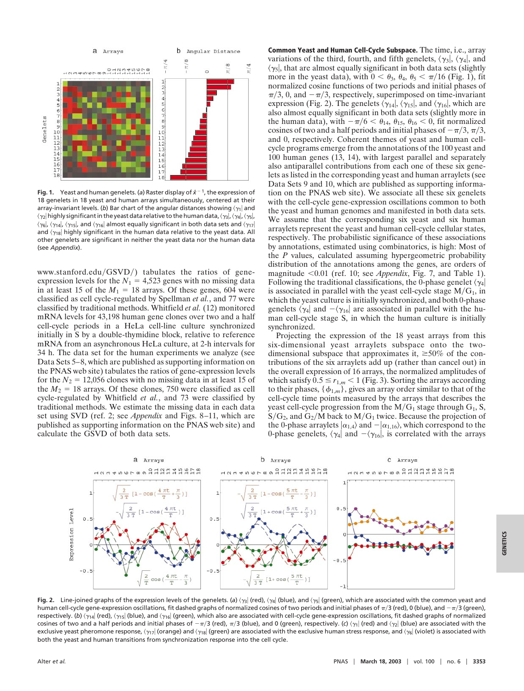

**Fig. 1.** Yeast and human genelets. (a) Raster display of  $\hat{x}$ <sup>-1</sup>, the expression of 18 genelets in 18 yeast and human arrays simultaneously, centered at their array-invariant levels. (b) Bar chart of the angular distances showing  $\langle \gamma_1 |$  and  $\langle\gamma_2|$  highly significant in the yeast data relative to the human data,  $\langle\gamma_3|, \langle\gamma_4|, \langle\gamma_5|,$  $\langle \gamma_6|, \langle \gamma_{14}|, \langle \gamma_{15}|, \rangle$  and  $\langle \gamma_{16}|$  almost equally significant in both data sets and  $\langle \gamma_{17}|$ and  $\langle \gamma_{18} \rangle$  highly significant in the human data relative to the yeast data. All other genelets are significant in neither the yeast data nor the human data (see *Appendix*).

www.stanford.edu/GSVD/) tabulates the ratios of geneexpression levels for the  $N_1 = 4,523$  genes with no missing data in at least 15 of the  $M_1 = 18$  arrays. Of these genes, 604 were classified as cell cycle-regulated by Spellman *et al.*, and 77 were classified by traditional methods. Whitfield *et al.* (12) monitored mRNA levels for 43,198 human gene clones over two and a half cell-cycle periods in a HeLa cell-line culture synchronized initially in S by a double-thymidine block, relative to reference mRNA from an asynchronous HeLa culture, at 2-h intervals for 34 h. The data set for the human experiments we analyze (see Data Sets 5–8, which are published as supporting information on the PNAS web site) tabulates the ratios of gene-expression levels for the  $N_2 = 12,056$  clones with no missing data in at least 15 of the  $M_2 = 18$  arrays. Of these clones, 750 were classified as cell cycle-regulated by Whitfield *et al.*, and 73 were classified by traditional methods. We estimate the missing data in each data set using SVD (ref. 2; see *Appendix* and Figs. 8–11, which are published as supporting information on the PNAS web site) and calculate the GSVD of both data sets.

**Common Yeast and Human Cell-Cycle Subspace.** The time, i.e., array variations of the third, fourth, and fifth genelets,  $\langle \gamma_3 |, \langle \gamma_4 |, \rangle$  and  $\langle \gamma_5|$ , that are almost equally significant in both data sets (slightly more in the yeast data), with  $0 < \theta_3$ ,  $\theta_4$ ,  $\theta_5 < \pi/16$  (Fig. 1), fit normalized cosine functions of two periods and initial phases of  $\pi/3$ , 0, and  $-\pi/3$ , respectively, superimposed on time-invariant expression (Fig. 2). The genelets  $\langle \gamma_{14} |, \langle \gamma_{15} |, \rangle$  and  $\langle \gamma_{16} |, \rangle$  which are also almost equally significant in both data sets (slightly more in the human data), with  $-\pi/6 < \theta_{14}$ ,  $\theta_{15}$ ,  $\theta_{16} < 0$ , fit normalized cosines of two and a half periods and initial phases of  $-\pi/3$ ,  $\pi/3$ , and 0, respectively. Coherent themes of yeast and human cellcycle programs emerge from the annotations of the 100 yeast and 100 human genes (13, 14), with largest parallel and separately also antiparallel contributions from each one of these six genelets as listed in the corresponding yeast and human arraylets (see Data Sets 9 and 10, which are published as supporting information on the PNAS web site). We associate all these six genelets with the cell-cycle gene-expression oscillations common to both the yeast and human genomes and manifested in both data sets. We assume that the corresponding six yeast and six human arraylets represent the yeast and human cell-cycle cellular states, respectively. The probabilistic significance of these associations by annotations, estimated using combinatorics, is high: Most of the *P* values, calculated assuming hypergeometric probability distribution of the annotations among the genes, are orders of magnitude <0.01 (ref. 10; see *Appendix*, Fig. 7, and Table 1). Following the traditional classifications, the 0-phase genelet  $\langle \gamma_4 |$ is associated in parallel with the yeast cell-cycle stage  $M/G_1$ , in which the yeast culture is initially synchronized, and both 0-phase genelets  $\langle \gamma_4 \rangle$  and  $-\langle \gamma_{16} \rangle$  are associated in parallel with the human cell-cycle stage S, in which the human culture is initially synchronized.

Projecting the expression of the 18 yeast arrays from this six-dimensional yeast arraylets subspace onto the twodimensional subspace that approximates it,  $\geq 50\%$  of the contributions of the six arraylets add up (rather than cancel out) in the overall expression of 16 arrays, the normalized amplitudes of which satisfy  $0.5 \le r_{1,m} < 1$  (Fig. 3). Sorting the arrays according to their phases,  $\{\phi_{1,m}\}$ , gives an array order similar to that of the cell-cycle time points measured by the arrays that describes the yeast cell-cycle progression from the  $M/G_1$  stage through  $G_1$ , S,  $S/G_2$ , and  $G_2/M$  back to  $M/G_1$  twice. Because the projection of the 0-phase arraylets  $|\alpha_{1,4}\rangle$  and  $-|\alpha_{1,16}\rangle$ , which correspond to the 0-phase genelets,  $\langle \gamma_4 \rangle$  and  $-\langle \gamma_{16} \rangle$ , is correlated with the arrays



**Fig. 2.** Line-joined graphs of the expression levels of the genelets. (a)  $\gamma_3$  (red),  $\gamma_4$  (blue), and  $\gamma_5$  (green), which are associated with the common yeast and human cell-cycle gene-expression oscillations, fit dashed graphs of normalized cosines of two periods and initial phases of  $\pi/3$  (red), 0 (blue), and  $-\pi/3$  (green), respectively. (b)  $\langle \gamma_{14} |$  (red),  $\langle \gamma_{15} |$  (blue), and  $\langle \gamma_{16} |$  (green), which also are associated with cell-cycle gene-expression oscillations, fit dashed graphs of normalized cosines of two and a half periods and initial phases of  $-\pi/3$  (red),  $\pi/3$  (blue), and 0 (green), respectively. (c)  $\langle \gamma_1 |$  (red) and  $\langle \gamma_2 |$  (blue) are associated with the exclusive yeast pheromone response,  $\langle \gamma_{17} |$  (orange) and  $\langle \gamma_{18} |$  (green) are associated with the exclusive human stress response, and  $\langle \gamma_6 |$  (violet) is associated with both the yeast and human transitions from synchronization response into the cell cycle.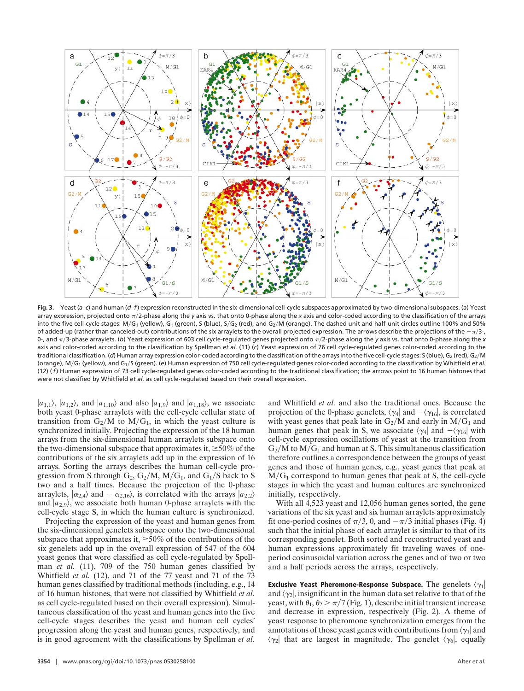

**Fig. 3.** Yeast (*a–c*) and human (*d–f*) expression reconstructed in the six-dimensional cell-cycle subspaces approximated by two-dimensional subspaces. (*a*) Yeast array expression, projected onto  $\pi/2$ -phase along the *y* axis vs. that onto 0-phase along the *x* axis and color-coded according to the classification of the arrays into the five cell-cycle stages: M/G<sub>1</sub> (yellow), G<sub>1</sub> (green), S (blue), S/G<sub>2</sub> (red), and G<sub>2</sub>/M (orange). The dashed unit and half-unit circles outline 100% and 50% of added-up (rather than canceled-out) contributions of the six arraylets to the overall projected expression. The arrows describe the projections of the  $-\pi/3$ -, 0-, and π/3-phase arraylets. (b) Yeast expression of 603 cell cycle-regulated genes projected onto π/2-phase along the *y* axis vs. that onto 0-phase along the *x* axis and color-coded according to the classification by Spellman *et al.* (11) (*c*) Yeast expression of 76 cell cycle-regulated genes color-coded according to the traditional classification. (d) Human array expression color-coded according to the classification of the arrays into the five cell-cycle stages: S (blue), G<sub>2</sub> (red), G<sub>2</sub>/M (orange), MyG1 (yellow), and G1yS (green). (*e*) Human expression of 750 cell cycle-regulated genes color-coded according to the classification by Whitfield *et al.* (12) (*f*) Human expression of 73 cell cycle-regulated genes color-coded according to the traditional classification; the arrows point to 16 human histones that were not classified by Whitfield *et al.* as cell cycle-regulated based on their overall expression.

 $|a_{1,1}\rangle$ ,  $|a_{1,2}\rangle$ , and  $|a_{1,10}\rangle$  and also  $|a_{1,9}\rangle$  and  $|a_{1,18}\rangle$ , we associate both yeast 0-phase arraylets with the cell-cycle cellular state of transition from  $G_2/M$  to  $M/G_1$ , in which the yeast culture is synchronized initially. Projecting the expression of the 18 human arrays from the six-dimensional human arraylets subspace onto the two-dimensional subspace that approximates it,  $\geq 50\%$  of the contributions of the six arraylets add up in the expression of 16 arrays. Sorting the arrays describes the human cell-cycle progression from S through  $G_2$ ,  $G_2/M$ ,  $M/G_1$ , and  $G_1/S$  back to S two and a half times. Because the projection of the 0-phase arraylets,  $|\alpha_{2,4}\rangle$  and  $-|\alpha_{2,16}\rangle$ , is correlated with the arrays  $|a_{2,2}\rangle$ and  $|a_{2,9}\rangle$ , we associate both human 0-phase arraylets with the cell-cycle stage S, in which the human culture is synchronized.

Projecting the expression of the yeast and human genes from the six-dimensional genelets subspace onto the two-dimensional subspace that approximates it,  $\geq 50\%$  of the contributions of the six genelets add up in the overall expression of 547 of the 604 yeast genes that were classified as cell cycle-regulated by Spellman *et al.* (11), 709 of the 750 human genes classified by Whitfield *et al.* (12), and 71 of the 77 yeast and 71 of the 73 human genes classified by traditional methods (including, e.g., 14 of 16 human histones, that were not classified by Whitfield *et al.* as cell cycle-regulated based on their overall expression). Simultaneous classification of the yeast and human genes into the five cell-cycle stages describes the yeast and human cell cycles' progression along the yeast and human genes, respectively, and is in good agreement with the classifications by Spellman *et al.* and Whitfield *et al.* and also the traditional ones. Because the projection of the 0-phase genelets,  $\langle \gamma_4 |$  and  $-\langle \gamma_{16} |$ , is correlated with yeast genes that peak late in  $G_2/M$  and early in  $M/G_1$  and human genes that peak in S, we associate  $\langle \gamma_4 |$  and  $-\langle \gamma_{16} |$  with cell-cycle expression oscillations of yeast at the transition from  $G_2/M$  to  $M/G_1$  and human at S. This simultaneous classification therefore outlines a correspondence between the groups of yeast genes and those of human genes, e.g., yeast genes that peak at  $M/G<sub>1</sub>$  correspond to human genes that peak at S, the cell-cycle stages in which the yeast and human cultures are synchronized initially, respectively.

With all 4,523 yeast and 12,056 human genes sorted, the gene variations of the six yeast and six human arraylets approximately fit one-period cosines of  $\pi/3$ , 0, and  $-\pi/3$  initial phases (Fig. 4) such that the initial phase of each arraylet is similar to that of its corresponding genelet. Both sorted and reconstructed yeast and human expressions approximately fit traveling waves of oneperiod cosinusoidal variation across the genes and of two or two and a half periods across the arrays, respectively.

**Exclusive Yeast Pheromone-Response Subspace.** The genelets  $\langle \gamma_1 |$ and  $\langle \gamma_2 |$ , insignificant in the human data set relative to that of the yeast, with  $\theta_1$ ,  $\theta_2 > \pi/7$  (Fig. 1), describe initial transient increase and decrease in expression, respectively (Fig. 2). A theme of yeast response to pheromone synchronization emerges from the annotations of those yeast genes with contributions from  $\langle \gamma_1 \rangle$  and  $\langle \gamma_2 \rangle$  that are largest in magnitude. The genelet  $\langle \gamma_6 \rangle$ , equally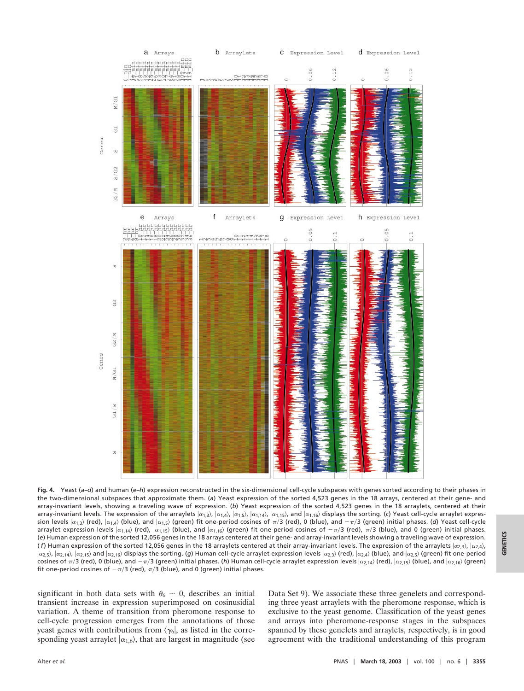

**Fig. 4.** Yeast (*a–d*) and human (*e–h*) expression reconstructed in the six-dimensional cell-cycle subspaces with genes sorted according to their phases in the two-dimensional subspaces that approximate them. (*a*) Yeast expression of the sorted 4,523 genes in the 18 arrays, centered at their gene- and array-invariant levels, showing a traveling wave of expression. (*b*) Yeast expression of the sorted 4,523 genes in the 18 arraylets, centered at their array-invariant levels. The expression of the arraylets  $\alpha_{1,3}$ ,  $\alpha_{1,4}$ ,  $\alpha_{1,5}$ ,  $\alpha_{1,14}$ ,  $\alpha_{1,15}$ , and  $\alpha_{1,16}$  displays the sorting. (c) Yeast cell-cycle arraylet expression levels  $|\alpha_{1,3}\rangle$  (red),  $|\alpha_{1,4}\rangle$  (blue), and  $|\alpha_{1,5}\rangle$  (green) fit one-period cosines of  $\pi/3$  (red), 0 (blue), and  $-\pi/3$  (green) initial phases. (*d*) Yeast cell-cycle arraylet expression levels  $\alpha_{1,14}$  (red),  $\alpha_{1,15}$  (blue), and  $\alpha_{1,16}$  (green) fit one-period cosines of  $-\pi/3$  (red),  $\pi/3$  (blue), and 0 (green) initial phases. (*e*) Human expression of the sorted 12,056 genes in the 18 arrays centered at their gene- and array-invariant levels showing a traveling wave of expression. (*f*) Human expression of the sorted 12,056 genes in the 18 arraylets centered at their array-invariant levels. The expression of the arraylets  $|\alpha_{2,3}\rangle$ ,  $|\alpha_{2,4}\rangle$ ,  $\alpha_{2,5}$ ,  $\alpha_{2,14}$ ,  $\alpha_{2,15}$  and  $\alpha_{2,16}$  displays the sorting. (g) Human cell-cycle arraylet expression levels  $\alpha_{2,3}$  (red),  $\alpha_{2,4}$  (blue), and  $\alpha_{2,5}$  (green) fit one-period cosines of  $\pi/3$  (red), 0 (blue), and  $-\pi/3$  (green) initial phases. (*h*) Human cell-cycle arraylet expression levels  $|\alpha_{2,14}\rangle$  (red),  $|\alpha_{2,15}\rangle$  (blue), and  $|\alpha_{2,16}\rangle$  (green) fit one-period cosines of  $-\pi/3$  (red),  $\pi/3$  (blue), and 0 (green) initial phases.

significant in both data sets with  $\theta_6 \sim 0$ , describes an initial transient increase in expression superimposed on cosinusidial variation. A theme of transition from pheromone response to cell-cycle progression emerges from the annotations of those yeast genes with contributions from  $\langle \gamma_6 \rangle$ , as listed in the corresponding yeast arraylet  $|\alpha_{1,6}\rangle$ , that are largest in magnitude (see Data Set 9). We associate these three genelets and corresponding three yeast arraylets with the pheromone response, which is exclusive to the yeast genome. Classification of the yeast genes and arrays into pheromone-response stages in the subspaces spanned by these genelets and arraylets, respectively, is in good agreement with the traditional understanding of this program